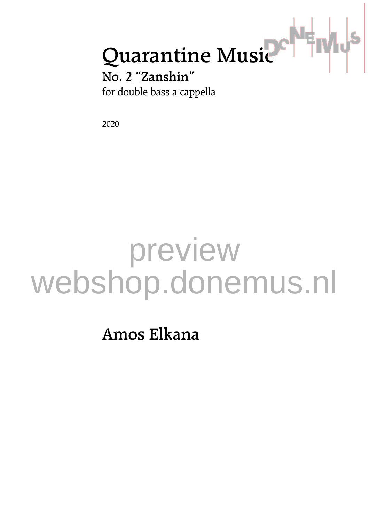

for double bass a cappella

2020

# preview webshop.donemus.nl

## **Amos Elkana**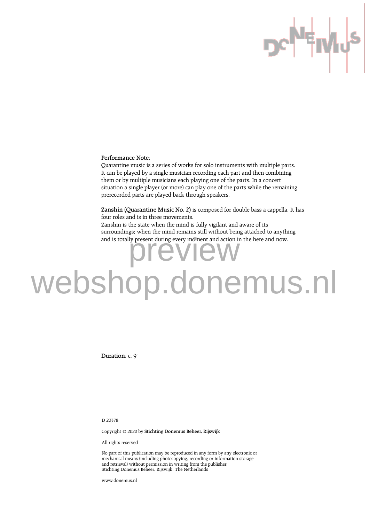#### **Performance Note**:

Quarantine music is a series of works for solo instruments with multiple parts. It can be played by a single musician recording each part and then combining them or by multiple musicians each playing one of the parts. In a concert situation a single player (or more) can play one of the parts while the remaining prerecorded parts are played back through speakers.

**Zanshin (Quarantine Music No. 2)** is composed for double bass a cappella. It has four roles and is in three movements.

Zanshin is the state when the mind is fully vigilant and aware of its surroundings; when the mind remains still without being attached to anything and is totally present during every mc nent and action in the here and now.

# ly present during every mc nent and action in webshop.donemus.nl

**Duration**: c. 9'

D 20378

Copyright © 2020 by **Stichting Donemus Beheer, Rijswijk**

All rights reserved

No part of this publication may be reproduced in any form by any electronic or mechanical means (including photocopying, recording or information storage and retrieval) without permission in writing from the publisher: Stichting Donemus Beheer, Rijswijk, The Netherlands

www.donemus.nl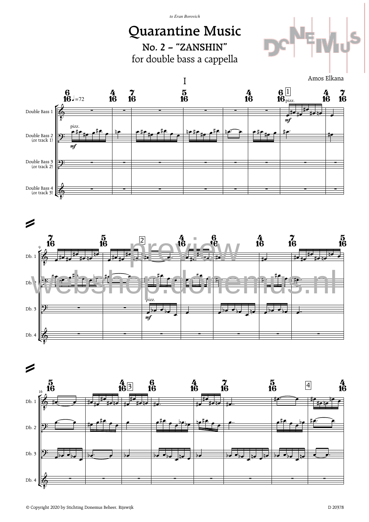#### *to Eran Borovich*

### **Quarantine Music**

**No. 2 – "ZANSHIN"** for double bass a cappella







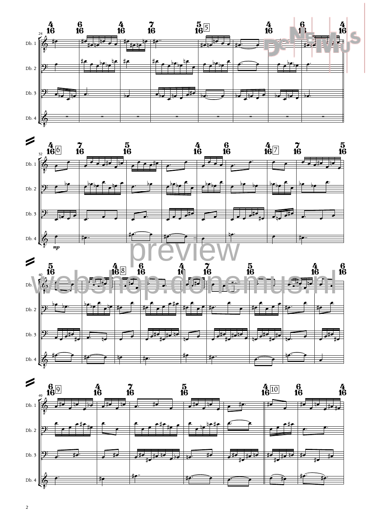





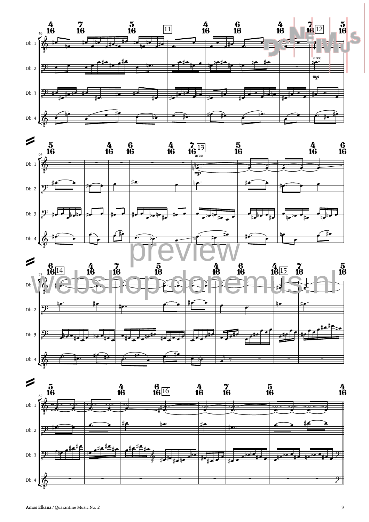





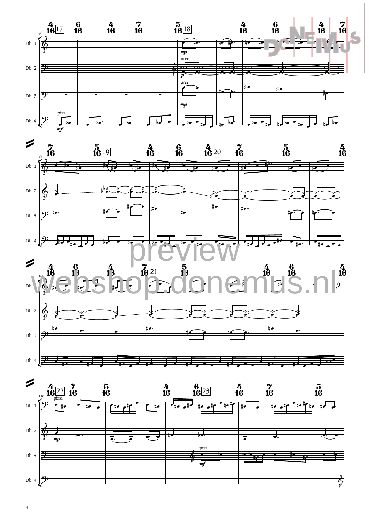





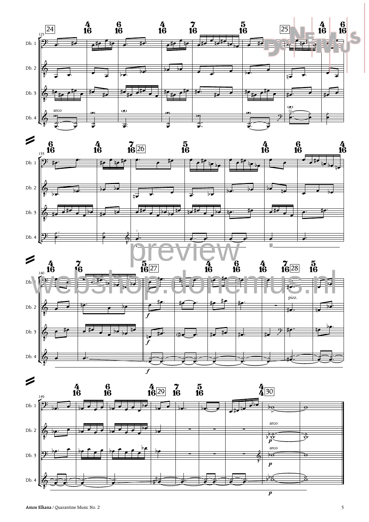